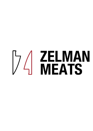# **THE THE MAN**<br>
THE MEATS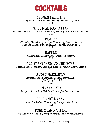

#### ZELMAN DAIQUIRY

Pampero Blanco Rum, Strawberry, Framboise, Lime £11

#### TROPTCAL MANHATTAN

Buffalo Trace Whiskey, Red Vermouth, Pineapple, Peychaud's Bitters £11

#### MOJITO

(Classic, Strawberry, Mango, Blueberry, Passion fruit) Pampero Blanco Rum, mint, Lime, sugar, fruit puree £11

#### RAPPLE.

Malibu Rum, Cloudy Apple Juice, Raspberry £11

#### OLD FASHIONED 'TO THE BONE'

Buffalo Trace Whiskey, Beef Fat, Malbec Syrup, Celery Bitters £12

#### SMOKY MARGARITA

Corazon Blanco Tequila, Mezcal, Agave, Lime, Apple, Spicy Rib Rub £12

PINA COLADA

Pampero White Rum, Malibu, Pineapple, Coconut cream £11

#### BLUBERRY DREAMS

Ketel One Vodka, Blueberry, Pomegranate, Lime £11

#### PORN STAR MARTINI

Vanilla vodka, Passoa, Passion Fruit, Lime, Sparkling wine £12

Please notify your server if you have any allergies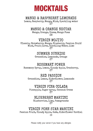

#### MANGO & RASPBERRY LEMONADE

Lemon, Raspberry, Mango, Mint, Sparkling water £7

MANGO & ORANGE NECTAR

Mango, Orange, Cream, Mango Foam  $R<sub>2</sub>$ 

VIRGIN MOJITO

(Classic, Strawberry, Mango, Blueberry, Passion fruit) Mint, Fruit puree, Sparkling Water, Lime £7

SUMMER SUNRISE

Grenadine, Lemonade, Orange  $f{.}7$ 

ROSEMARY POWER

Rosemary Syrup, lemon, Cloudy Apple, Cranberry,  $f.7$ 

RED PASSION

Grenadine, Lemon, Elderflower, Lemonade £7

VIRGIN PINA COLADA

Pineapple, Sugar syrup, Coconut Cream £7

BLUEBERRY MARTINI

Blueberries, Lime, Pomegranate £7

VIRGIN PORN STAR MARTINI

Passion Fruit, Cloudy Apple, Soda, Elderflower Cordial £8

Please notify your server if you have any allergies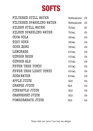

| FILTERED STILL WATER     | Bottomless | £3 |
|--------------------------|------------|----|
| FILTERED SPARKLING WATER | Bottomless | £3 |
| HILDON STILL WATER       | 750ml      | £5 |
| HILDON SPARKLING WATER   | 750ml      | £5 |
| COCA COLA                | 330ml      | £4 |
| DIET COKE                | 330ml      | £4 |
| COKE ZERO                | 330ml      | £4 |
| LEMONADE                 | 200m1      | £4 |
| GINGER BEER              | 200ml      | £4 |
| GINGER ALE               | 200ml      | £4 |
| FEVER TREE TONIC         | 200ml      | £4 |
| FEVER TREE LIGHT TONIC   | 200ml      | £4 |
| SODAWATER                | 200ml      | £4 |
| APPLE JUICE              | GLS        | £4 |
| ORANGE JUICE             | <b>GLS</b> | £4 |
| PINEAPPLE JUICE          | GLS        | £4 |
| CRANBERRY JUICE          | GLS        | £4 |
| POMEGRANATE JUICE        | GLS        | £4 |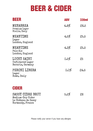# **BEER & CIDER**

| <b>BEER</b>                                         | ABV  | <b>330ml</b>     |
|-----------------------------------------------------|------|------------------|
| MENABREA<br>Premium Lager<br>Biella, Italy          | 4.8% | £6.5             |
| MEANTIME<br>Lager<br>London, England                | 4.5% | £5.5             |
| MEANTIME<br>Pale Ale<br>London, England             | 4.3% | $\pounds5$ . $5$ |
| LUCKY SAINT<br>Unfiltered Lager<br>Bavaria, Germany | 0.5% | £5               |
| PERONI LIBERA<br>Lager<br>Roma, Italy               | 0.0% | £4.5             |

## **CIDER**

| SASSY CIDRE BRUT    | 5.2% | $\pounds 6$ |
|---------------------|------|-------------|
| Medium-Dry Cider    |      |             |
| Le Château de Sassy |      |             |
| Normandy, France    |      |             |

Please notify your server if you have any allergies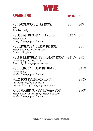

| <b>SPARKLING</b>                                                                               | 125ml     | <b>BTL</b> |
|------------------------------------------------------------------------------------------------|-----------|------------|
| NV PROSECCO PORTA NOVA<br>Glera<br>Veneto, Italy                                               | $\$3$     | £47        |
| NV ANDRE CLOUET GRAND CRU<br>Pinot Noir<br>Bouzy, Champagne, France                            | £13.5 £80 |            |
| NV RIDGEVIEW BLANC DE NOIR<br>Pinot Noir/Pinot Meunier<br>Sussex, England                      |           | £85        |
| NV A R LENOBLE 'TERROIRS' ROSE<br>Chardonnay/Pinot Noir<br>Chouilly, Champagne, France         | £15.5 £92 |            |
| NV RUINART BLANC DE BLANC<br>Chardonnay<br>Remis, Champagne, France                            |           | £110       |
| 2012 DOM PERIGNON BRUT<br>Chardonnay/Pinot Noir<br>Hautvillers, Champagne, France              |           | £235       |
| KRUG GRAND CUVEE 167eme EDT<br>Pinot Noir/Chardonnay/Pinot Meunier<br>Remis, Champagne, France |           | £260       |

Vintages may vary, 125ml available on request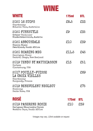

| WHITE                                                                         | <b>175ml</b> | BTL        |
|-------------------------------------------------------------------------------|--------------|------------|
| 2020 16 STOPS<br>Chardonnay<br>McLaren Vale, Australia                        | £8.5         | £33        |
| 2020 FUNKSTYLE<br>Grüner Veltliner<br>Niederösterreich, Austria               | $\$3$        | £35        |
| 2020 ABBOTSDALE<br>Chenin Blanc<br>Swartland, South Africa                    | £10          | £39        |
| 2020 ROARING MEG<br>Sauvignon Blanc<br>Central Otago, New Zealand             | £11.5        | £45        |
| 2019 TENDU BY MATTHIASSON<br>Cortese<br>Clarksburg, USA                       | £13          | £51        |
| 2017 POUILLY-FUISSE<br>LA CROIX VIELLES<br>Chardonnay<br>Burgundy, France     |              | £69        |
| 2019 BENEVOLENT NEGLECT<br>Riesling<br>Santa Rosa, USA                        |              | £75        |
| <b>ROSE</b>                                                                   | 175ml        | <b>BTL</b> |
| 2019 PASERENE ROSIE<br>Carignan/Mourvedre/Syrah<br>Western Cape, South Africa | £10          | £39        |

Vintages may vary, 125ml available on request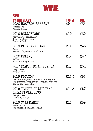

| RED                                                                                                              |                    |              |
|------------------------------------------------------------------------------------------------------------------|--------------------|--------------|
| <b>BY THE GLASS</b><br>2020 NOSTROS RESERVA<br>Carmenere<br>Maipo, Chile                                         | <b>175ml</b><br>£9 | BTL<br>£35   |
| 2016 BELLAFIORE<br>Corvina/Rondinella/<br>Cabernet Sauvignon<br>Veneto, Italy                                    | £10                | £39          |
| 2018 PASERENE DARK<br>Syrah<br>Western Cape, South Africa                                                        | £11.5              | £45          |
| 2020 FELINO<br>Malbec<br>Mendoza, Argentina                                                                      | £12                | £47          |
| 2017 IZADI RIOJA RESERVA<br>Tempranillo<br>Rioja, Spain                                                          | £13                | $\pounds 51$ |
| 2019 FICTION<br>Zinfandel/Syrah/Cabernet Sauvignon/<br>Sangiovese/Carignan/Corvina/Barbera<br>Santa Barbara, USA | £13.5              | £53          |
| 2019 TENUTA DI LILLIANO<br>CHIANTI CLASSICO<br>Sangiovese<br>Toscana, Italy                                      | £14.5              | £57          |
| 2019 CASA MARIN<br>Pinot Noir<br>San Antonio Valley, Chile                                                       | £15                | £59          |

Vintages may vary, 125ml available on request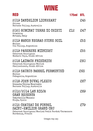

| RED                                                                                                                       | <b>175ml</b> | <b>BTL</b> |
|---------------------------------------------------------------------------------------------------------------------------|--------------|------------|
| 2019 DANDELION LIONHEART<br>Shiraz<br>Barossa Valley, Australia                                                           |              | £45        |
| 2020 RUMINAT TERRE DI CHIETI<br>Primitivo<br>Abruzzo, Italy                                                               | £12          | £47        |
| 2019 MANOS NEGRAS STONE SOIL<br>Malbec<br>Uco Valley, Argentina                                                           |              | £53        |
| 2019 PASERENE MIDNIGHT<br>Cabernet Sauvignon<br>Western Cape, South Africa                                                |              | £55        |
| 2018 LAIBACH FRIEDRICH<br>Cabernet Sauvignon/Merlot<br>Stellenbosch, South Africa                                         |              | £60        |
| 2019 SAURUS BARREL FERMENTED<br>Malbec<br>Patagonia, Argentina                                                            |              | £63        |
| 2018 JOHN DUVAL PLEXUS<br>Grenache/Shiraz/Mourvedre<br>Barossa Valley, Australia                                          |              | £67        |
| 2012/2014 LAN RIOJA<br><b>GRAN RESERVA</b><br>Tempranillo/Mazuelo<br>Rioja, Spain                                         |              | £69        |
| 2015 CHATEAU DE FONBEL<br>SAINT-EMILION GRAND CRU<br>Cabernet Sauvignon/Merlot/Petit Verdot/Carmenere<br>Bordeaux, France |              | £79        |

Vintages may vary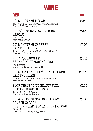

| RED                                                                                                                          | <b>BTL</b> |
|------------------------------------------------------------------------------------------------------------------------------|------------|
| 2015 CHATEAU MUSAR<br>Cabernet Sauvignon/Carignan/Cinsault<br>Bekaa Valley, Lebanon                                          | £95        |
| 2017/2018 G.D. VAJRA ALBE<br>BAROLO<br>Nebbiolo<br>Piedmont, Italy                                                           | £99        |
| 2015 CHATEAU CAPBERN<br>SAINT-ESTEPHE<br>Cabernet Sauvignon/Merlot/Petit Verdot<br>Bordeaux, France                          | £105       |
| 2017 FOSSACOLLE<br>BRUNELLO DI MONTALCINO<br>Sangiovese<br>Brunello di Montalcino, Italy                                     | £113       |
| 2016 CHATEAU LEOVILLE POYFERR<br>SAINT-JULIEN<br>Cabernet Sauvignon/Merlot/Petit Verdot<br>Bordeaux, France                  | £123       |
| 2009 CHATEAU DU BEAUCASTEL<br>CHATEAUNEUF-DU-PAPE<br>Granache/Syrah/Mourvedre<br>Southern Rhone, France                      | £135       |
| 2014/2017 PETITS CAZETIERS<br>DOMAIN GALLOS<br>GEVREY-CHAMBERTIN PREMIER CRU<br>Pinot Noir<br>Cote de Nuit, Bergandy, France | £165       |

Vintages may vary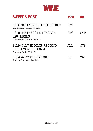

| <b>SWEET &amp; PORT</b>                                                  | <b>75ml</b> | <b>BTL</b> |
|--------------------------------------------------------------------------|-------------|------------|
| 2016 SAUTERNES PETIT GUIRAD<br>Bordeaux, France (375ml)                  | £10         |            |
| 2019 CHATEAU LES MINGETS<br>SAUTERNES<br>Bordeaux, France (375ml)        | £10         | £49        |
| 2015/2017 NICOLIS RECIOTO<br>DELLA VALPOLICELLA<br>Veneto, Italy (500ml) | £12         | £78        |
| 2014 WARRE'S LBV PORT<br>Douro, Portugal (750ml)                         | ድሪ          | £59        |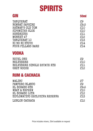## **SPIRITS**

| GIN                           | <b>50ml</b> |
|-------------------------------|-------------|
| TANQUERAY                     | $\$3$       |
| <b>BOMBAY SAPHIRE</b>         | £9.5        |
| HAYMAN'S OLD TOM              | £10         |
| SIPSMITHS SLOE                | £0          |
| HENDRICKS                     | £1          |
| MONKEY 47                     | £2          |
| TANQUERAY 10                  | £13         |
| KI NO BI KYOTO                | £14         |
| FOUR PILLARS RARE             | £14         |
| VODKA                         |             |
| KETEL ONE                     | $\$3$       |
| BELVEDERE                     | £0          |
| BELVEDERE SINGLE ESTATE RYE   | £1          |
| <b>GREY GOOSE</b>             | £12         |
| <b>RUM &amp; CACHACA</b>      |             |
| MALIBU                        | $\pounds 7$ |
| PAMPERO BLANCO                | \$9         |
| EL DORADO 8YR                 | £9.5        |
| WRAY & NEPHEW                 | £10         |
| EL DORADO 12YR                | £2          |
| DIPLOMATICO EXCLUSIVA RESERVA | £13         |
| LEBLON CACHACA                | £12         |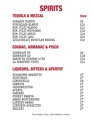# **SPIRITS**

| <b>TEQUILA &amp; MEZCAL</b> | <b>50ml</b> |
|-----------------------------|-------------|
| CORAZON BLANCO              | 59          |
| FORTALEZA BLANCO            | £12         |
| DON JULIO BLANCO            | £12         |
| DON JULIO REPOSADO          | £13         |
| DON JULIO ANEJO             | £14         |
| DON JULIO 1942              | £23         |
| QUIQUIRIQUI MATATLAN MEZCAL | £12         |

## **COGNAC, ARMANAC & PISCO**

| HENNESSY VS<br>HENNESSY XO<br>BARON DE SIGONAC 20YR<br>LA CARAVEDO PISCO | £9   |
|--------------------------------------------------------------------------|------|
|                                                                          | £18  |
|                                                                          | \$16 |
|                                                                          | £10  |

### **LIQUEURS, BITTERS & APERITIF**

| DISARONNO AMARETTO | £7          |
|--------------------|-------------|
| COINTREAU          | £7          |
| LIMONCELLO         | $\$3$       |
| SAMBUCA            | $\pounds 7$ |
| JAGERMEISTER       | $\pounds 7$ |
| APEROL             | $\pounds 7$ |
| CAMPARI            | £7          |
| FERNET BRANCA      | £7          |
| AMARO MONTENEGRO   | £7          |
| LONDINO AMARO      | $\pounds 7$ |
| LONDINIO APERITIVO | $\pounds 7$ |
| <b>BAILEYS</b>     | $\pounds 7$ |

Price includes mixers, 25ml available on request